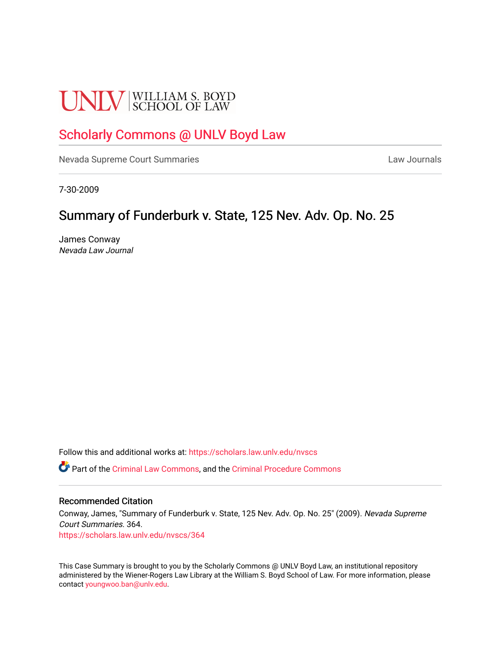# **UNLV** SCHOOL OF LAW

## [Scholarly Commons @ UNLV Boyd Law](https://scholars.law.unlv.edu/)

[Nevada Supreme Court Summaries](https://scholars.law.unlv.edu/nvscs) **Law Journals** Law Journals

7-30-2009

# Summary of Funderburk v. State, 125 Nev. Adv. Op. No. 25

James Conway Nevada Law Journal

Follow this and additional works at: [https://scholars.law.unlv.edu/nvscs](https://scholars.law.unlv.edu/nvscs?utm_source=scholars.law.unlv.edu%2Fnvscs%2F364&utm_medium=PDF&utm_campaign=PDFCoverPages)

Part of the [Criminal Law Commons,](http://network.bepress.com/hgg/discipline/912?utm_source=scholars.law.unlv.edu%2Fnvscs%2F364&utm_medium=PDF&utm_campaign=PDFCoverPages) and the [Criminal Procedure Commons](http://network.bepress.com/hgg/discipline/1073?utm_source=scholars.law.unlv.edu%2Fnvscs%2F364&utm_medium=PDF&utm_campaign=PDFCoverPages)

#### Recommended Citation

Conway, James, "Summary of Funderburk v. State, 125 Nev. Adv. Op. No. 25" (2009). Nevada Supreme Court Summaries. 364. [https://scholars.law.unlv.edu/nvscs/364](https://scholars.law.unlv.edu/nvscs/364?utm_source=scholars.law.unlv.edu%2Fnvscs%2F364&utm_medium=PDF&utm_campaign=PDFCoverPages)

This Case Summary is brought to you by the Scholarly Commons @ UNLV Boyd Law, an institutional repository administered by the Wiener-Rogers Law Library at the William S. Boyd School of Law. For more information, please contact [youngwoo.ban@unlv.edu](mailto:youngwoo.ban@unlv.edu).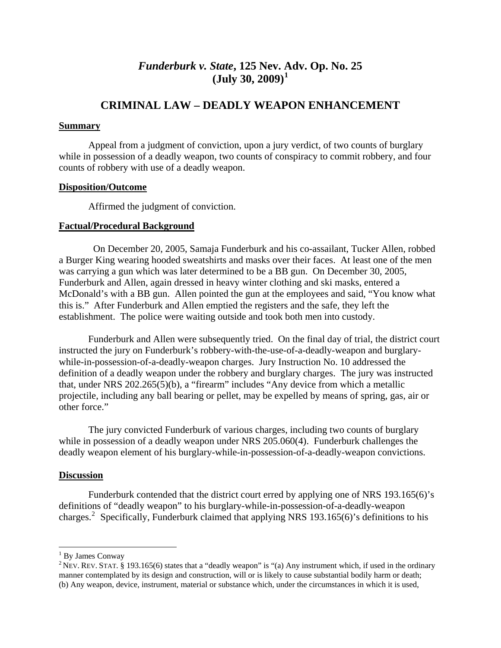## *Funderburk v. State***, 125 Nev. [A](#page-1-0)dv. Op. No. 25 (July 30, 2009)[1](#page-1-0)**

### **CRIMINAL LAW – DEADLY WEAPON ENHANCEMENT**

#### **Summary**

 Appeal from a judgment of conviction, upon a jury verdict, of two counts of burglary while in possession of a deadly weapon, two counts of conspiracy to commit robbery, and four counts of robbery with use of a deadly weapon.

#### **Disposition/Outcome**

Affirmed the judgment of conviction.

#### **Factual/Procedural Background**

 On December 20, 2005, Samaja Funderburk and his co-assailant, Tucker Allen, robbed a Burger King wearing hooded sweatshirts and masks over their faces. At least one of the men was carrying a gun which was later determined to be a BB gun. On December 30, 2005, Funderburk and Allen, again dressed in heavy winter clothing and ski masks, entered a McDonald's with a BB gun. Allen pointed the gun at the employees and said, "You know what this is." After Funderburk and Allen emptied the registers and the safe, they left the establishment. The police were waiting outside and took both men into custody.

 Funderburk and Allen were subsequently tried. On the final day of trial, the district court instructed the jury on Funderburk's robbery-with-the-use-of-a-deadly-weapon and burglarywhile-in-possession-of-a-deadly-weapon charges. Jury Instruction No. 10 addressed the definition of a deadly weapon under the robbery and burglary charges. The jury was instructed that, under NRS 202.265(5)(b), a "firearm" includes "Any device from which a metallic projectile, including any ball bearing or pellet, may be expelled by means of spring, gas, air or other force."

The jury convicted Funderburk of various charges, including two counts of burglary while in possession of a deadly weapon under NRS 205.060(4). Funderburk challenges the deadly weapon element of his burglary-while-in-possession-of-a-deadly-weapon convictions.

#### **Discussion**

 Funderburk contended that the district court erred by applying one of NRS 193.165(6)'s definitions of "deadly weapon" to his burglary-while-in-possession-of-a-deadly-weapon charges.<sup>[2](#page-1-1)</sup> Specifically, Funderburk claimed that applying NRS 193.165(6)'s definitions to his

<span id="page-1-0"></span><sup>&</sup>lt;sup>1</sup> By James Conway

<span id="page-1-1"></span><sup>&</sup>lt;sup>2</sup> NEV. REV. STAT. § 193.165(6) states that a "deadly weapon" is "(a) Any instrument which, if used in the ordinary manner contemplated by its design and construction, will or is likely to cause substantial bodily harm or death; (b) Any weapon, device, instrument, material or substance which, under the circumstances in which it is used,